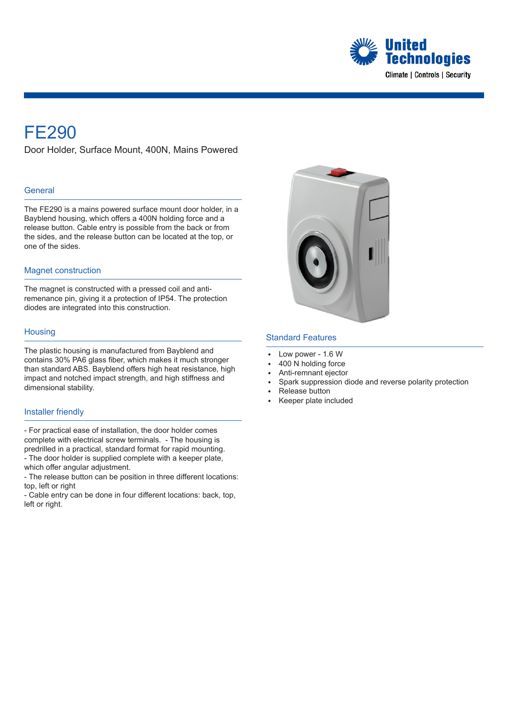

## FE290

Door Holder, Surface Mount, 400N, Mains Powered

### **General**

The FE290 is a mains powered surface mount door holder, in a Bayblend housing, which offers a 400N holding force and a release button. Cable entry is possible from the back or from the sides, and the release button can be located at the top, or one of the sides.

#### Magnet construction

The magnet is constructed with a pressed coil and antiremenance pin, giving it a protection of IP54. The protection diodes are integrated into this construction.

#### **Housing**

The plastic housing is manufactured from Bayblend and contains 30% PA6 glass fiber, which makes it much stronger than standard ABS. Bayblend offers high heat resistance, high impact and notched impact strength, and high stiffness and dimensional stability.

#### Installer friendly

- For practical ease of installation, the door holder comes complete with electrical screw terminals. - The housing is predrilled in a practical, standard format for rapid mounting. - The door holder is supplied complete with a keeper plate, which offer angular adjustment.

- The release button can be position in three different locations: top, left or right

- Cable entry can be done in four different locations: back, top, left or right.



## Standard Features

- Low power 1.6 W
- 400 N holding force
- Anti-remnant ejector
- Spark suppression diode and reverse polarity protection
- <sup>E</sup> Release button
- <sup>E</sup> Keeper plate included